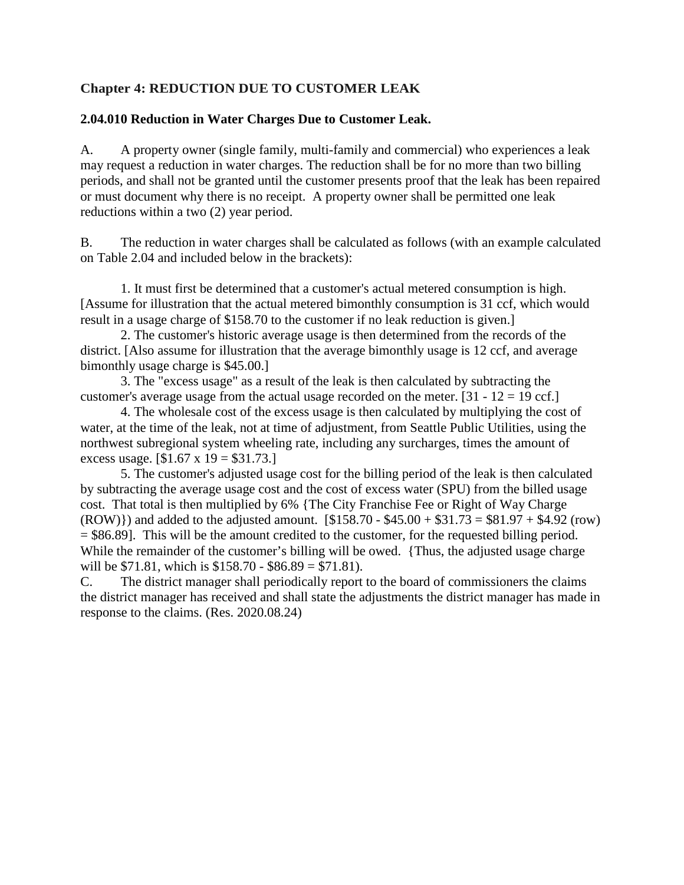## **Chapter 4: REDUCTION DUE TO CUSTOMER LEAK**

## **2.04.010 Reduction in Water Charges Due to Customer Leak.**

A. A property owner (single family, multi-family and commercial) who experiences a leak may request a reduction in water charges. The reduction shall be for no more than two billing periods, and shall not be granted until the customer presents proof that the leak has been repaired or must document why there is no receipt. A property owner shall be permitted one leak reductions within a two (2) year period.

B. The reduction in water charges shall be calculated as follows (with an example calculated on Table 2.04 and included below in the brackets):

1. It must first be determined that a customer's actual metered consumption is high. [Assume for illustration that the actual metered bimonthly consumption is 31 ccf, which would result in a usage charge of \$158.70 to the customer if no leak reduction is given.]

2. The customer's historic average usage is then determined from the records of the district. [Also assume for illustration that the average bimonthly usage is 12 ccf, and average bimonthly usage charge is \$45.00.]

3. The "excess usage" as a result of the leak is then calculated by subtracting the customer's average usage from the actual usage recorded on the meter.  $[31 - 12 = 19 \text{ ccf.}]$ 

4. The wholesale cost of the excess usage is then calculated by multiplying the cost of water, at the time of the leak, not at time of adjustment, from Seattle Public Utilities, using the northwest subregional system wheeling rate, including any surcharges, times the amount of excess usage.  $[$1.67 \times 19 = $31.73.]$ 

5. The customer's adjusted usage cost for the billing period of the leak is then calculated by subtracting the average usage cost and the cost of excess water (SPU) from the billed usage cost. That total is then multiplied by 6% {The City Franchise Fee or Right of Way Charge  $(ROW)$ ) and added to the adjusted amount.  $[$158.70 - $45.00 + $31.73 = $81.97 + $4.92$  (row) = \$86.89]. This will be the amount credited to the customer, for the requested billing period. While the remainder of the customer's billing will be owed. {Thus, the adjusted usage charge will be \$71.81, which is \$158.70 - \$86.89 = \$71.81).

C. The district manager shall periodically report to the board of commissioners the claims the district manager has received and shall state the adjustments the district manager has made in response to the claims. (Res. 2020.08.24)